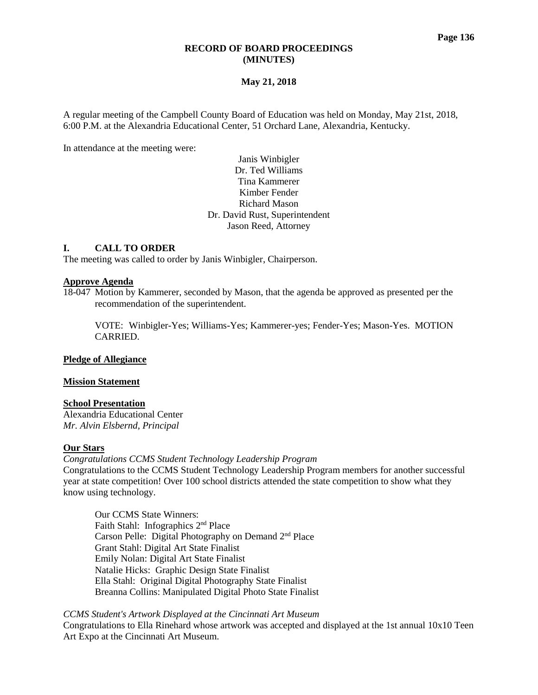## **RECORD OF BOARD PROCEEDINGS (MINUTES)**

## **May 21, 2018**

A regular meeting of the Campbell County Board of Education was held on Monday, May 21st, 2018, 6:00 P.M. at the Alexandria Educational Center, 51 Orchard Lane, Alexandria, Kentucky.

In attendance at the meeting were:

# Janis Winbigler Dr. Ted Williams Tina Kammerer Kimber Fender Richard Mason Dr. David Rust, Superintendent Jason Reed, Attorney

## **I. CALL TO ORDER**

The meeting was called to order by Janis Winbigler, Chairperson.

#### **Approve Agenda**

18-047 Motion by Kammerer, seconded by Mason, that the agenda be approved as presented per the recommendation of the superintendent.

VOTE: Winbigler-Yes; Williams-Yes; Kammerer-yes; Fender-Yes; Mason-Yes. MOTION CARRIED.

## **Pledge of Allegiance**

#### **Mission Statement**

# **School Presentation**

Alexandria Educational Center *Mr. Alvin Elsbernd, Principal*

## **Our Stars**

*[Congratulations CCMS Student Technology Leadership Program](http://www.campbellcountyschools.org/News/54890)* Congratulations to the CCMS Student Technology Leadership Program members for another successful year at state competition! Over 100 school districts attended the state competition to show what they know using technology.

Our CCMS State Winners: Faith Stahl: Infographics 2nd Place Carson Pelle: Digital Photography on Demand 2nd Place Grant Stahl: Digital Art State Finalist Emily Nolan: Digital Art State Finalist Natalie Hicks: Graphic Design State Finalist Ella Stahl: Original Digital Photography State Finalist Breanna Collins: Manipulated Digital Photo State Finalist

*[CCMS Student's Artwork Displayed at the Cincinnati Art Museum](http://www.campbellcountyschools.org/News/54898)* Congratulations to Ella Rinehard whose artwork was accepted and displayed at the 1st annual 10x10 Teen Art Expo at the Cincinnati Art Museum.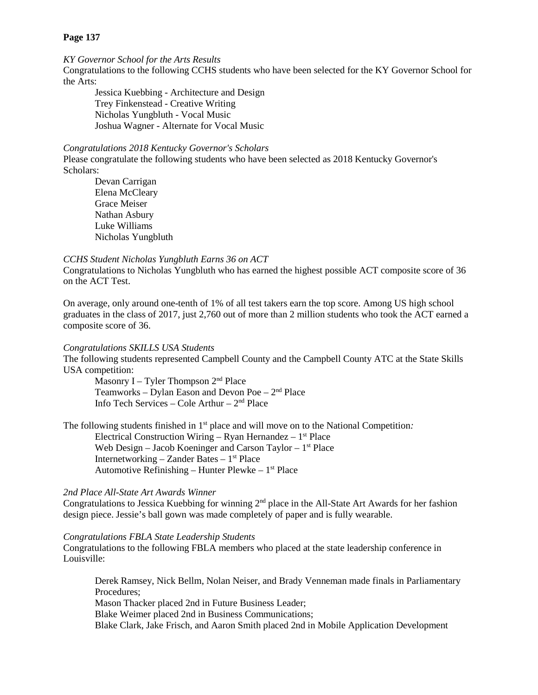# *[KY Governor School for the Arts Results](http://www.campbellcountyschools.org/News/54892)*

Congratulations to the following CCHS students who have been selected for the KY Governor School for the Arts:

Jessica Kuebbing - Architecture and Design Trey Finkenstead - Creative Writing Nicholas Yungbluth - Vocal Music Joshua Wagner - Alternate for Vocal Music

#### *[Congratulations 2018 Kentucky Governor's Scholars](http://www.campbellcountyschools.org/News/54896)*

Please congratulate the following students who have been selected as 2018 Kentucky Governor's Scholars:

Devan Carrigan Elena McCleary Grace Meiser Nathan Asbury Luke Williams Nicholas Yungbluth

#### *[CCHS Student Nicholas Yungbluth Earns 36 on ACT](http://www.campbellcountyschools.org/News/54899)*

Congratulations to Nicholas Yungbluth who has earned the highest possible ACT composite score of 36 on the ACT Test.

On average, only around one-tenth of 1% of all test takers earn the top score. Among US high school graduates in the class of 2017, just 2,760 out of more than 2 million students who took the ACT earned a composite score of 36.

#### *[Congratulations SKILLS USA Students](http://www.campbellcountyschools.org/News/54897)*

The following students represented Campbell County and the Campbell County ATC at the State Skills USA competition:

Masonry I – Tyler Thompson 2<sup>nd</sup> Place Teamworks – Dylan Eason and Devon Poe –  $2<sup>nd</sup>$  Place Info Tech Services – Cole Arthur –  $2<sup>nd</sup>$  Place

The following students finished in 1<sup>st</sup> place and will move on to the National Competition: Electrical Construction Wiring – Ryan Hernandez –  $1<sup>st</sup>$  Place Web Design – Jacob Koeninger and Carson Taylor –  $1<sup>st</sup>$  Place Internetworking – Zander Bates –  $1<sup>st</sup>$  Place Automotive Refinishing – Hunter Plewke –  $1<sup>st</sup>$  Place

# *[2nd Place All-State Art Awards Winner](http://www.campbellcountyschools.org/News/54889)*

Congratulations to Jessica Kuebbing for winning  $2<sup>nd</sup>$  place in the All-State Art Awards for her fashion design piece. Jessie's ball gown was made completely of paper and is fully wearable.

## *[Congratulations FBLA State Leadership Students](http://www.campbellcountyschools.org/News/54904)*

Congratulations to the following FBLA members who placed at the state leadership conference in Louisville:

Derek Ramsey, Nick Bellm, Nolan Neiser, and Brady Venneman made finals in Parliamentary Procedures;

Mason Thacker placed 2nd in Future Business Leader;

Blake Weimer placed 2nd in Business Communications;

Blake Clark, Jake Frisch, and Aaron Smith placed 2nd in Mobile Application Development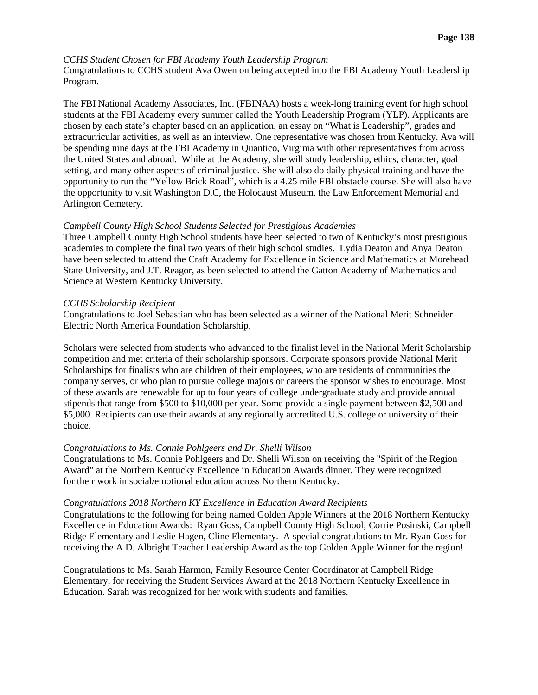# *[CCHS Student Chosen for FBI Academy Youth Leadership Program](http://www.campbellcountyschools.org/News/54906)*

Congratulations to CCHS student Ava Owen on being accepted into the FBI Academy Youth Leadership Program.

The FBI National Academy Associates, Inc. (FBINAA) hosts a week-long training event for high school students at the FBI Academy every summer called the Youth Leadership Program (YLP). Applicants are chosen by each state's chapter based on an application, an essay on "What is Leadership", grades and extracurricular activities, as well as an interview. One representative was chosen from Kentucky. Ava will be spending nine days at the FBI Academy in Quantico, Virginia with other representatives from across the United States and abroad. While at the Academy, she will study leadership, ethics, character, goal setting, and many other aspects of criminal justice. She will also do daily physical training and have the opportunity to run the "Yellow Brick Road", which is a 4.25 mile FBI obstacle course. She will also have the opportunity to visit Washington D.C, the Holocaust Museum, the Law Enforcement Memorial and Arlington Cemetery.

## *[Campbell County High School Students Selected for Prestigious Academies](http://www.campbellcountyschools.org/News/54913)*

Three Campbell County High School students have been selected to two of Kentucky's most prestigious academies to complete the final two years of their high school studies. Lydia Deaton and Anya Deaton have been selected to attend the Craft Academy for Excellence in Science and Mathematics at Morehead State University, and J.T. Reagor, as been selected to attend the Gatton Academy of Mathematics and Science at Western Kentucky University.

## *[CCHS Scholarship Recipient](http://www.campbellcountyschools.org/News/54917)*

Congratulations to Joel Sebastian who has been selected as a winner of the National Merit Schneider Electric North America Foundation Scholarship.

Scholars were selected from students who advanced to the finalist level in the National Merit Scholarship competition and met criteria of their scholarship sponsors. Corporate sponsors provide National Merit Scholarships for finalists who are children of their employees, who are residents of communities the company serves, or who plan to pursue college majors or careers the sponsor wishes to encourage. Most of these awards are renewable for up to four years of college undergraduate study and provide annual stipends that range from \$500 to \$10,000 per year. Some provide a single payment between \$2,500 and \$5,000. Recipients can use their awards at any regionally accredited U.S. college or university of their choice.

## *[Congratulations to Ms. Connie Pohlgeers and Dr. Shelli Wilson](http://www.campbellcountyschools.org/News/54914)*

Congratulations to Ms. Connie Pohlgeers and Dr. Shelli Wilson on receiving the "Spirit of the Region Award" at the Northern Kentucky Excellence in Education Awards dinner. They were recognized for their work in social/emotional education across Northern Kentucky.

## *[Congratulations 2018 Northern KY Excellence in Education Award Recipients](http://www.campbellcountyschools.org/News/54915)*

Congratulations to the following for being named Golden Apple Winners at the 2018 Northern Kentucky Excellence in Education Awards: Ryan Goss, Campbell County High School; Corrie Posinski, Campbell Ridge Elementary and Leslie Hagen, Cline Elementary. A special congratulations to Mr. Ryan Goss for receiving the A.D. Albright Teacher Leadership Award as the top Golden Apple Winner for the region!

Congratulations to Ms. Sarah Harmon, Family Resource Center Coordinator at Campbell Ridge Elementary, for receiving the Student Services Award at the 2018 Northern Kentucky Excellence in Education. Sarah was recognized for her work with students and families.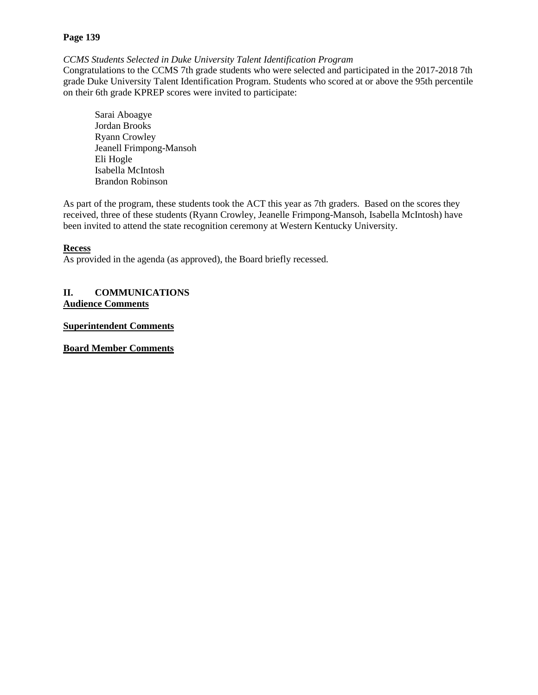*[CCMS Students Selected in Duke University Talent Identification Program](http://www.campbellcountyschools.org/News/54924)*

Congratulations to the CCMS 7th grade students who were selected and participated in the 2017-2018 7th grade Duke University Talent Identification Program. Students who scored at or above the 95th percentile on their 6th grade KPREP scores were invited to participate:

Sarai Aboagye Jordan Brooks Ryann Crowley Jeanell Frimpong-Mansoh Eli Hogle Isabella McIntosh Brandon Robinson

As part of the program, these students took the ACT this year as 7th graders. Based on the scores they received, three of these students (Ryann Crowley, Jeanelle Frimpong-Mansoh, Isabella McIntosh) have been invited to attend the state recognition ceremony at Western Kentucky University.

# **Recess**

As provided in the agenda (as approved), the Board briefly recessed.

# **II. COMMUNICATIONS Audience Comments**

**Superintendent Comments**

**Board Member Comments**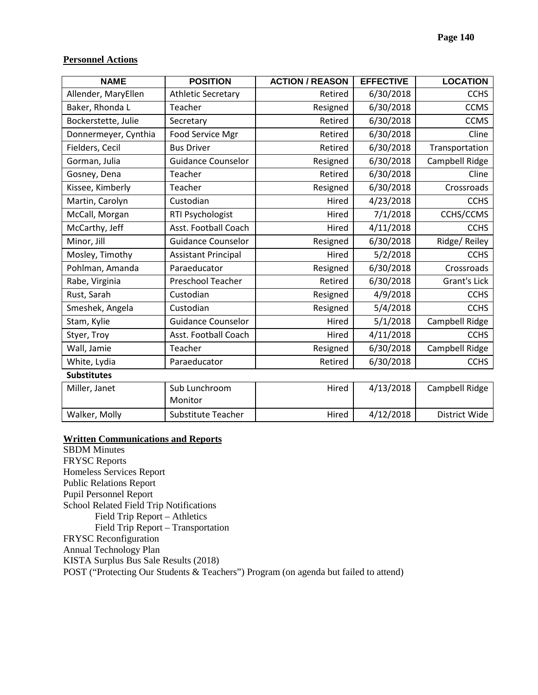## **Personnel Actions**

| <b>NAME</b>          | <b>POSITION</b>            | <b>ACTION / REASON</b> | <b>EFFECTIVE</b> | <b>LOCATION</b> |  |  |
|----------------------|----------------------------|------------------------|------------------|-----------------|--|--|
| Allender, MaryEllen  | <b>Athletic Secretary</b>  | Retired                | 6/30/2018        | <b>CCHS</b>     |  |  |
| Baker, Rhonda L      | Teacher                    | Resigned               | 6/30/2018        | <b>CCMS</b>     |  |  |
| Bockerstette, Julie  | Secretary                  | Retired                | 6/30/2018        | <b>CCMS</b>     |  |  |
| Donnermeyer, Cynthia | Food Service Mgr           | Retired                | 6/30/2018        | Cline           |  |  |
| Fielders, Cecil      | <b>Bus Driver</b>          | Retired                | 6/30/2018        | Transportation  |  |  |
| Gorman, Julia        | <b>Guidance Counselor</b>  | Resigned               | 6/30/2018        | Campbell Ridge  |  |  |
| Gosney, Dena         | Teacher                    | Retired                | 6/30/2018        | Cline           |  |  |
| Kissee, Kimberly     | Teacher                    | Resigned               | 6/30/2018        | Crossroads      |  |  |
| Martin, Carolyn      | Custodian                  | Hired                  | 4/23/2018        | <b>CCHS</b>     |  |  |
| McCall, Morgan       | RTI Psychologist           | Hired                  | 7/1/2018         | CCHS/CCMS       |  |  |
| McCarthy, Jeff       | Asst. Football Coach       | Hired                  | 4/11/2018        | <b>CCHS</b>     |  |  |
| Minor, Jill          | <b>Guidance Counselor</b>  | Resigned               | 6/30/2018        | Ridge/Reiley    |  |  |
| Mosley, Timothy      | <b>Assistant Principal</b> | Hired                  | 5/2/2018         | <b>CCHS</b>     |  |  |
| Pohlman, Amanda      | Paraeducator               | Resigned               | 6/30/2018        | Crossroads      |  |  |
| Rabe, Virginia       | Preschool Teacher          | Retired                | 6/30/2018        | Grant's Lick    |  |  |
| Rust, Sarah          | Custodian                  | Resigned               | 4/9/2018         | <b>CCHS</b>     |  |  |
| Smeshek, Angela      | Custodian                  | Resigned               | 5/4/2018         | <b>CCHS</b>     |  |  |
| Stam, Kylie          | <b>Guidance Counselor</b>  | Hired                  | 5/1/2018         | Campbell Ridge  |  |  |
| Styer, Troy          | Asst. Football Coach       | Hired                  | 4/11/2018        | <b>CCHS</b>     |  |  |
| Wall, Jamie          | Teacher                    | Resigned               | 6/30/2018        | Campbell Ridge  |  |  |
| White, Lydia         | Paraeducator               | Retired                | 6/30/2018        | <b>CCHS</b>     |  |  |
| <b>Substitutes</b>   |                            |                        |                  |                 |  |  |
| Miller, Janet        | Sub Lunchroom<br>Monitor   | Hired                  | 4/13/2018        | Campbell Ridge  |  |  |

Walker, Molly Substitute Teacher | Hired | 4/12/2018 | District Wide

## **Written Communications and Reports**

SBDM Minutes FRYSC Reports Homeless Services Report Public Relations Report Pupil Personnel Report School Related Field Trip Notifications Field Trip Report – Athletics Field Trip Report – Transportation FRYSC Reconfiguration Annual Technology Plan KISTA Surplus Bus Sale Results (2018) POST ("Protecting Our Students & Teachers") Program (on agenda but failed to attend)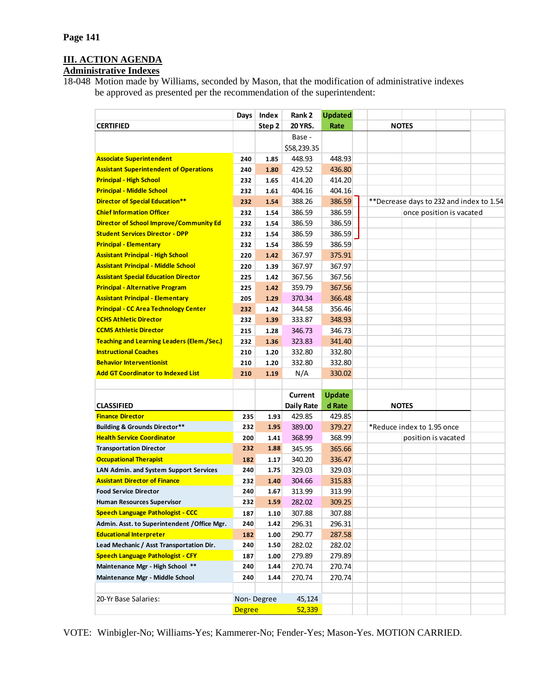# **III. ACTION AGENDA**

# **Administrative Indexes**

18-048 Motion made by Williams, seconded by Mason, that the modification of administrative indexes be approved as presented per the recommendation of the superintendent:

|                                                   |               | Days   Index | Rank 2            | <b>Updated</b> |                            |                                          |  |
|---------------------------------------------------|---------------|--------------|-------------------|----------------|----------------------------|------------------------------------------|--|
| <b>CERTIFIED</b>                                  |               | Step 2       | 20 YRS.           | Rate           | <b>NOTES</b>               |                                          |  |
|                                                   |               |              | Base -            |                |                            |                                          |  |
|                                                   |               |              | \$58,239.35       |                |                            |                                          |  |
| <b>Associate Superintendent</b>                   | 240           | 1.85         | 448.93            | 448.93         |                            |                                          |  |
| <b>Assistant Superintendent of Operations</b>     | 240           | 1.80         | 429.52            | 436.80         |                            |                                          |  |
| <b>Principal - High School</b>                    | 232           | 1.65         | 414.20            | 414.20         |                            |                                          |  |
| <b>Principal - Middle School</b>                  | 232           | 1.61         | 404.16            | 404.16         |                            |                                          |  |
| Director of Special Education**                   | 232           | 1.54         | 388.26            | 386.59         |                            | **Decrease days to 232 and index to 1.54 |  |
| <b>Chief Information Officer</b>                  | 232           | 1.54         | 386.59            | 386.59         | once position is vacated   |                                          |  |
| Director of School Improve/Community Ed           | 232           | 1.54         | 386.59            | 386.59         |                            |                                          |  |
| <b>Student Services Director - DPP</b>            | 232           | 1.54         | 386.59            | 386.59         |                            |                                          |  |
| <b>Principal - Elementary</b>                     | 232           | 1.54         | 386.59            | 386.59         |                            |                                          |  |
| <b>Assistant Principal - High School</b>          | 220           | 1.42         | 367.97            | 375.91         |                            |                                          |  |
| <b>Assistant Principal - Middle School</b>        | 220           | 1.39         | 367.97            | 367.97         |                            |                                          |  |
| <b>Assistant Special Education Director</b>       | 225           | 1.42         | 367.56            | 367.56         |                            |                                          |  |
| <b>Principal - Alternative Program</b>            | 225           | 1.42         | 359.79            | 367.56         |                            |                                          |  |
| <b>Assistant Principal - Elementary</b>           | 205           | 1.29         | 370.34            | 366.48         |                            |                                          |  |
| <b>Principal - CC Area Technology Center</b>      | 232           | 1.42         | 344.58            | 356.46         |                            |                                          |  |
| <b>CCHS Athletic Director</b>                     | 232           | 1.39         | 333.87            | 348.93         |                            |                                          |  |
| <b>CCMS Athletic Director</b>                     | 215           | 1.28         | 346.73            | 346.73         |                            |                                          |  |
| <b>Teaching and Learning Leaders (Elem./Sec.)</b> | 232           | 1.36         | 323.83            | 341.40         |                            |                                          |  |
| <b>Instructional Coaches</b>                      | 210           | 1.20         | 332.80            | 332.80         |                            |                                          |  |
| <b>Behavior Interventionist</b>                   | 210           | 1.20         | 332.80            | 332.80         |                            |                                          |  |
| <b>Add GT Coordinator to Indexed List</b>         | 210           | 1.19         | N/A               | 330.02         |                            |                                          |  |
|                                                   |               |              |                   |                |                            |                                          |  |
|                                                   |               |              | Current           | <b>Update</b>  |                            |                                          |  |
| <b>CLASSIFIED</b>                                 |               |              | <b>Daily Rate</b> | d Rate         | <b>NOTES</b>               |                                          |  |
| <b>Finance Director</b>                           | 235           | 1.93         | 429.85            | 429.85         |                            |                                          |  |
| <b>Building &amp; Grounds Director**</b>          | 232           | 1.95         | 389.00            | 379.27         | *Reduce index to 1.95 once |                                          |  |
| <b>Health Service Coordinator</b>                 | 200           | 1.41         | 368.99            | 368.99         |                            | position is vacated                      |  |
| <b>Transportation Director</b>                    | 232           | 1.88         | 345.95            | 365.66         |                            |                                          |  |
| <b>Occupational Therapist</b>                     | 182           | 1.17         | 340.20            | 336.47         |                            |                                          |  |
| LAN Admin. and System Support Services            | 240           | 1.75         | 329.03            | 329.03         |                            |                                          |  |
| <b>Assistant Director of Finance</b>              | 232           | 1.40         | 304.66            | 315.83         |                            |                                          |  |
| <b>Food Service Director</b>                      | 240           | 1.67         | 313.99            | 313.99         |                            |                                          |  |
| <b>Human Resources Supervisor</b>                 | 232           | 1.59         | 282.02            | 309.25         |                            |                                          |  |
| <b>Speech Language Pathologist - CCC</b>          | 187           | 1.10         | 307.88            | 307.88         |                            |                                          |  |
| Admin. Asst. to Superintendent / Office Mgr.      | 240           | 1.42         | 296.31            | 296.31         |                            |                                          |  |
| <b>Educational Interpreter</b>                    | 182           | 1.00         | 290.77            | 287.58         |                            |                                          |  |
| Lead Mechanic / Asst Transportation Dir.          | 240           | 1.50         | 282.02            | 282.02         |                            |                                          |  |
| <b>Speech Language Pathologist - CFY</b>          | 187           | 1.00         | 279.89            | 279.89         |                            |                                          |  |
| Maintenance Mgr - High School **                  | 240           | 1.44         | 270.74            | 270.74         |                            |                                          |  |
| Maintenance Mgr - Middle School                   | 240           | 1.44         | 270.74            | 270.74         |                            |                                          |  |
|                                                   |               |              |                   |                |                            |                                          |  |
| 20-Yr Base Salaries:                              |               | Non-Degree   | 45,124            |                |                            |                                          |  |
|                                                   | <b>Degree</b> |              | 52,339            |                |                            |                                          |  |

VOTE: Winbigler-No; Williams-Yes; Kammerer-No; Fender-Yes; Mason-Yes. MOTION CARRIED.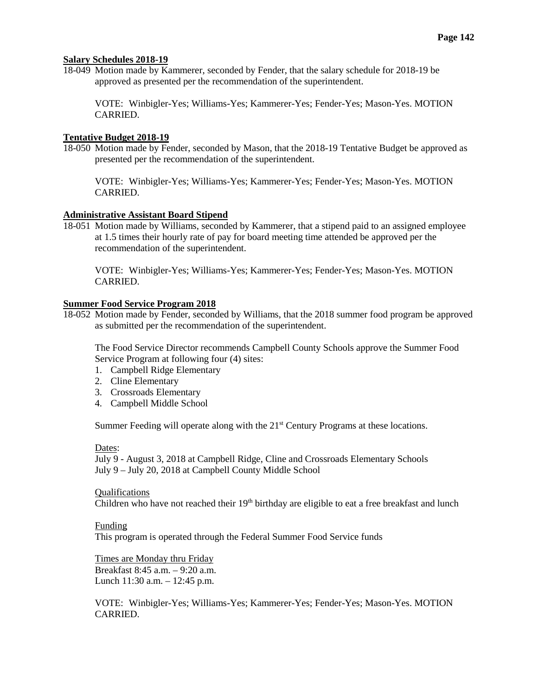# **Salary Schedules 2018-19**

18-049 Motion made by Kammerer, seconded by Fender, that the salary schedule for 2018-19 be approved as presented per the recommendation of the superintendent.

VOTE: Winbigler-Yes; Williams-Yes; Kammerer-Yes; Fender-Yes; Mason-Yes. MOTION CARRIED.

## **Tentative Budget 2018-19**

18-050 Motion made by Fender, seconded by Mason, that the 2018-19 Tentative Budget be approved as presented per the recommendation of the superintendent.

VOTE: Winbigler-Yes; Williams-Yes; Kammerer-Yes; Fender-Yes; Mason-Yes. MOTION CARRIED.

## **Administrative Assistant Board Stipend**

18-051 Motion made by Williams, seconded by Kammerer, that a stipend paid to an assigned employee at 1.5 times their hourly rate of pay for board meeting time attended be approved per the recommendation of the superintendent.

VOTE: Winbigler-Yes; Williams-Yes; Kammerer-Yes; Fender-Yes; Mason-Yes. MOTION CARRIED.

## **Summer Food Service Program 2018**

18-052 Motion made by Fender, seconded by Williams, that the 2018 summer food program be approved as submitted per the recommendation of the superintendent.

The Food Service Director recommends Campbell County Schools approve the Summer Food Service Program at following four (4) sites:

- 1. Campbell Ridge Elementary
- 2. Cline Elementary
- 3. Crossroads Elementary
- 4. Campbell Middle School

Summer Feeding will operate along with the 21<sup>st</sup> Century Programs at these locations.

## Dates:

July 9 - August 3, 2018 at Campbell Ridge, Cline and Crossroads Elementary Schools July 9 – July 20, 2018 at Campbell County Middle School

## Qualifications

Children who have not reached their 19<sup>th</sup> birthday are eligible to eat a free breakfast and lunch

## Funding

This program is operated through the Federal Summer Food Service funds

## Times are Monday thru Friday

Breakfast 8:45 a.m. – 9:20 a.m. Lunch 11:30 a.m. – 12:45 p.m.

VOTE: Winbigler-Yes; Williams-Yes; Kammerer-Yes; Fender-Yes; Mason-Yes. MOTION CARRIED.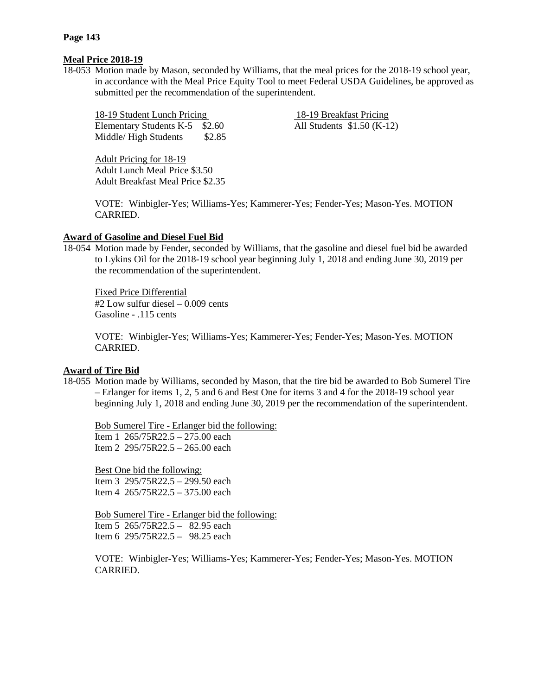# **Meal Price 2018-19**

18-053 Motion made by Mason, seconded by Williams, that the meal prices for the 2018-19 school year, in accordance with the Meal Price Equity Tool to meet Federal USDA Guidelines, be approved as submitted per the recommendation of the superintendent.

18-19 Student Lunch Pricing 18-19 Breakfast Pricing Elementary Students K-5  $$2.60$  All Students \$1.50 (K-12) Middle/High Students \$2.85

Adult Pricing for 18-19 Adult Lunch Meal Price \$3.50 Adult Breakfast Meal Price \$2.35

VOTE: Winbigler-Yes; Williams-Yes; Kammerer-Yes; Fender-Yes; Mason-Yes. MOTION CARRIED.

# **Award of Gasoline and Diesel Fuel Bid**

18-054 Motion made by Fender, seconded by Williams, that the gasoline and diesel fuel bid be awarded to Lykins Oil for the 2018-19 school year beginning July 1, 2018 and ending June 30, 2019 per the recommendation of the superintendent.

Fixed Price Differential #2 Low sulfur diesel – 0.009 cents Gasoline - .115 cents

VOTE: Winbigler-Yes; Williams-Yes; Kammerer-Yes; Fender-Yes; Mason-Yes. MOTION CARRIED.

# **Award of Tire Bid**

18-055 Motion made by Williams, seconded by Mason, that the tire bid be awarded to Bob Sumerel Tire – Erlanger for items 1, 2, 5 and 6 and Best One for items 3 and 4 for the 2018-19 school year beginning July 1, 2018 and ending June 30, 2019 per the recommendation of the superintendent.

Bob Sumerel Tire - Erlanger bid the following: Item 1 265/75R22.5 – 275.00 each

Item 2 295/75R22.5 – 265.00 each

Best One bid the following: Item 3 295/75R22.5 – 299.50 each Item 4 265/75R22.5 – 375.00 each

Bob Sumerel Tire - Erlanger bid the following: Item 5 265/75R22.5 – 82.95 each Item 6 295/75R22.5 – 98.25 each

VOTE: Winbigler-Yes; Williams-Yes; Kammerer-Yes; Fender-Yes; Mason-Yes. MOTION CARRIED.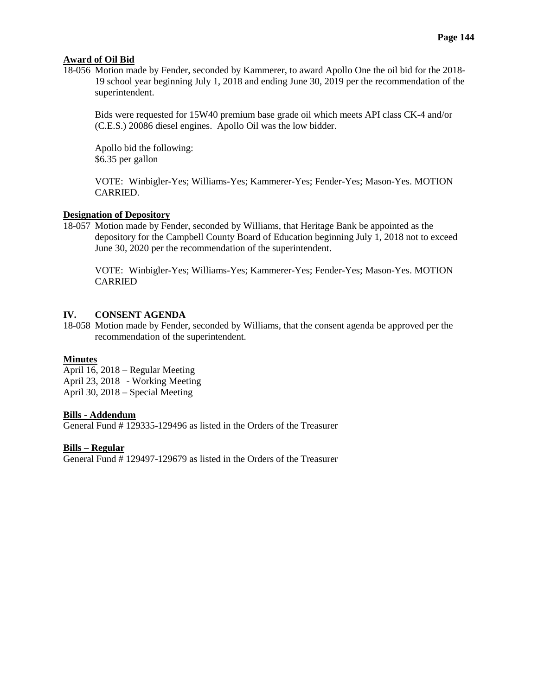## **Award of Oil Bid**

18-056 Motion made by Fender, seconded by Kammerer, to award Apollo One the oil bid for the 2018- 19 school year beginning July 1, 2018 and ending June 30, 2019 per the recommendation of the superintendent.

Bids were requested for 15W40 premium base grade oil which meets API class CK-4 and/or (C.E.S.) 20086 diesel engines. Apollo Oil was the low bidder.

Apollo bid the following: \$6.35 per gallon

VOTE: Winbigler-Yes; Williams-Yes; Kammerer-Yes; Fender-Yes; Mason-Yes. MOTION CARRIED.

# **Designation of Depository**

18-057 Motion made by Fender, seconded by Williams, that Heritage Bank be appointed as the depository for the Campbell County Board of Education beginning July 1, 2018 not to exceed June 30, 2020 per the recommendation of the superintendent.

VOTE: Winbigler-Yes; Williams-Yes; Kammerer-Yes; Fender-Yes; Mason-Yes. MOTION CARRIED

## **IV. CONSENT AGENDA**

18-058 Motion made by Fender, seconded by Williams, that the consent agenda be approved per the recommendation of the superintendent.

## **Minutes**

April 16, 2018 – Regular Meeting April 23, 2018 - Working Meeting April 30, 2018 – Special Meeting

## **Bills - Addendum**

General Fund # 129335-129496 as listed in the Orders of the Treasurer

## **Bills – Regular**

General Fund # 129497-129679 as listed in the Orders of the Treasurer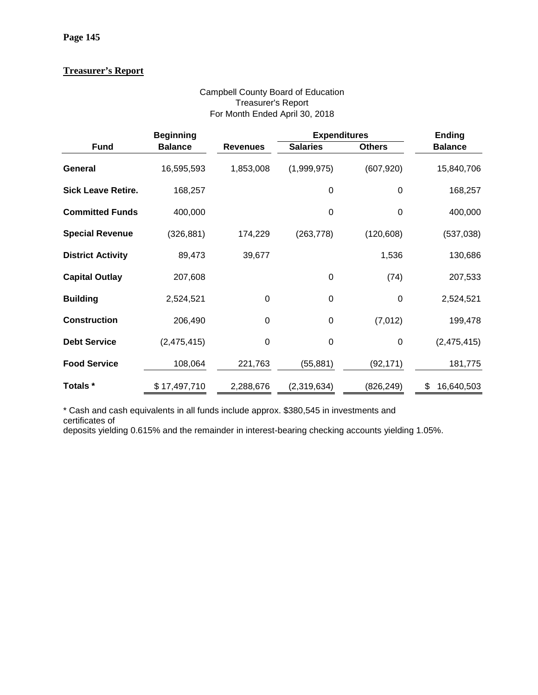# **Treasurer's Report**

# Campbell County Board of Education Treasurer's Report For Month Ended April 30, 2018

|                           | <b>Beginning</b> |                 | <b>Expenditures</b> | <b>Ending</b> |                  |
|---------------------------|------------------|-----------------|---------------------|---------------|------------------|
| <b>Fund</b>               | <b>Balance</b>   | <b>Revenues</b> | <b>Salaries</b>     | <b>Others</b> | <b>Balance</b>   |
| General                   | 16,595,593       | 1,853,008       | (1,999,975)         | (607, 920)    | 15,840,706       |
| <b>Sick Leave Retire.</b> | 168,257          |                 | 0                   | 0             | 168,257          |
| <b>Committed Funds</b>    | 400,000          |                 | 0                   | 0             | 400,000          |
| <b>Special Revenue</b>    | (326, 881)       | 174,229         | (263, 778)          | (120, 608)    | (537, 038)       |
| <b>District Activity</b>  | 89,473           | 39,677          |                     | 1,536         | 130,686          |
| <b>Capital Outlay</b>     | 207,608          |                 | 0                   | (74)          | 207,533          |
| <b>Building</b>           | 2,524,521        | $\mathbf 0$     | $\mathbf 0$         | $\mathbf 0$   | 2,524,521        |
| <b>Construction</b>       | 206,490          | $\mathbf 0$     | 0                   | (7,012)       | 199,478          |
| <b>Debt Service</b>       | (2,475,415)      | $\mathbf 0$     | 0                   | $\mathbf 0$   | (2,475,415)      |
| <b>Food Service</b>       | 108,064          | 221,763         | (55, 881)           | (92, 171)     | 181,775          |
| Totals *                  | \$17,497,710     | 2,288,676       | (2,319,634)         | (826, 249)    | \$<br>16,640,503 |

\* Cash and cash equivalents in all funds include approx. \$380,545 in investments and

certificates of

deposits yielding 0.615% and the remainder in interest-bearing checking accounts yielding 1.05%.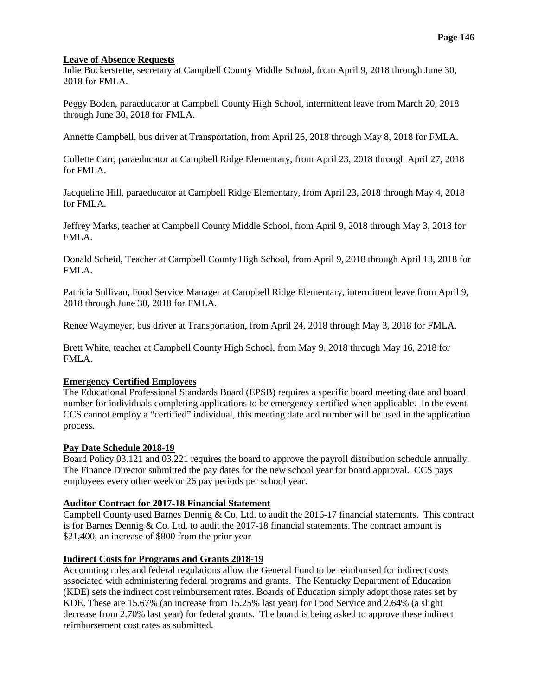## **Leave of Absence Requests**

Julie Bockerstette, secretary at Campbell County Middle School, from April 9, 2018 through June 30, 2018 for FMLA.

Peggy Boden, paraeducator at Campbell County High School, intermittent leave from March 20, 2018 through June 30, 2018 for FMLA.

Annette Campbell, bus driver at Transportation, from April 26, 2018 through May 8, 2018 for FMLA.

Collette Carr, paraeducator at Campbell Ridge Elementary, from April 23, 2018 through April 27, 2018 for FMLA.

Jacqueline Hill, paraeducator at Campbell Ridge Elementary, from April 23, 2018 through May 4, 2018 for FMLA.

Jeffrey Marks, teacher at Campbell County Middle School, from April 9, 2018 through May 3, 2018 for FMLA.

Donald Scheid, Teacher at Campbell County High School, from April 9, 2018 through April 13, 2018 for FMLA.

Patricia Sullivan, Food Service Manager at Campbell Ridge Elementary, intermittent leave from April 9, 2018 through June 30, 2018 for FMLA.

Renee Waymeyer, bus driver at Transportation, from April 24, 2018 through May 3, 2018 for FMLA.

Brett White, teacher at Campbell County High School, from May 9, 2018 through May 16, 2018 for FMLA.

## **Emergency Certified Employees**

The Educational Professional Standards Board (EPSB) requires a specific board meeting date and board number for individuals completing applications to be emergency-certified when applicable. In the event CCS cannot employ a "certified" individual, this meeting date and number will be used in the application process.

## **Pay Date Schedule 2018-19**

Board Policy 03.121 and 03.221 requires the board to approve the payroll distribution schedule annually. The Finance Director submitted the pay dates for the new school year for board approval. CCS pays employees every other week or 26 pay periods per school year.

# **Auditor Contract for 2017-18 Financial Statement**

Campbell County used Barnes Dennig & Co. Ltd. to audit the 2016-17 financial statements. This contract is for Barnes Dennig & Co. Ltd. to audit the 2017-18 financial statements. The contract amount is \$21,400; an increase of \$800 from the prior year

#### **Indirect Costs for Programs and Grants 2018-19**

Accounting rules and federal regulations allow the General Fund to be reimbursed for indirect costs associated with administering federal programs and grants. The Kentucky Department of Education (KDE) sets the indirect cost reimbursement rates. Boards of Education simply adopt those rates set by KDE. These are 15.67% (an increase from 15.25% last year) for Food Service and 2.64% (a slight decrease from 2.70% last year) for federal grants. The board is being asked to approve these indirect reimbursement cost rates as submitted.